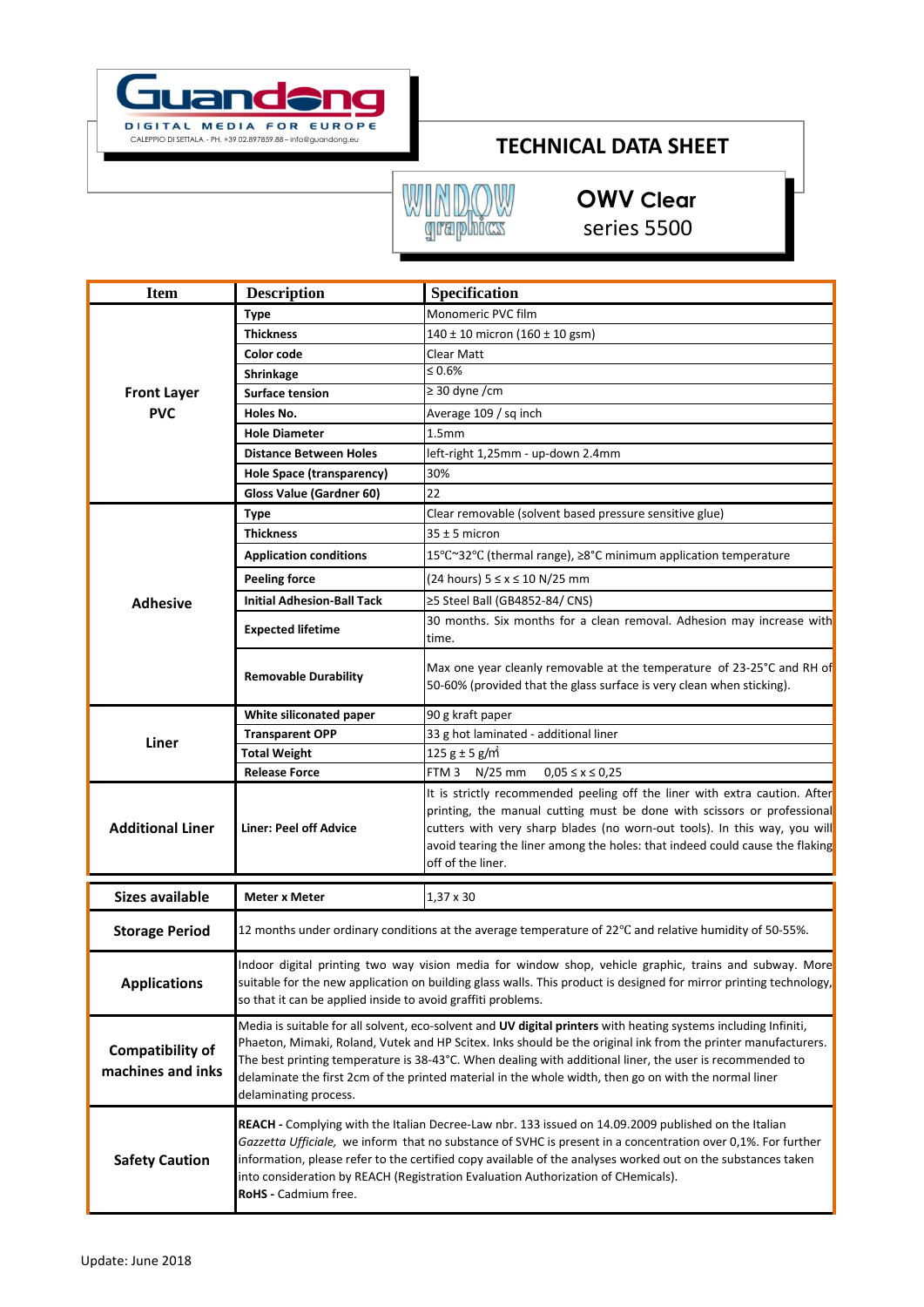

## **TECHNICAL DATA SHEET**

## **INDOW**<br>graphics W

**OWV Clear** series 5500

| <b>Item</b>                                  | <b>Description</b>                                                                                                                                                                                                                                                                                                                                                                                                                                                             | Specification                                                                                                                                                                                                                                                                                                                           |
|----------------------------------------------|--------------------------------------------------------------------------------------------------------------------------------------------------------------------------------------------------------------------------------------------------------------------------------------------------------------------------------------------------------------------------------------------------------------------------------------------------------------------------------|-----------------------------------------------------------------------------------------------------------------------------------------------------------------------------------------------------------------------------------------------------------------------------------------------------------------------------------------|
|                                              | <b>Type</b>                                                                                                                                                                                                                                                                                                                                                                                                                                                                    | Monomeric PVC film                                                                                                                                                                                                                                                                                                                      |
|                                              | <b>Thickness</b>                                                                                                                                                                                                                                                                                                                                                                                                                                                               | 140 ± 10 micron (160 ± 10 gsm)                                                                                                                                                                                                                                                                                                          |
|                                              | Color code                                                                                                                                                                                                                                                                                                                                                                                                                                                                     | Clear Matt                                                                                                                                                                                                                                                                                                                              |
|                                              | Shrinkage                                                                                                                                                                                                                                                                                                                                                                                                                                                                      | $\leq 0.6\%$                                                                                                                                                                                                                                                                                                                            |
| <b>Front Layer</b>                           | Surface tension                                                                                                                                                                                                                                                                                                                                                                                                                                                                | $\geq$ 30 dyne /cm                                                                                                                                                                                                                                                                                                                      |
| <b>PVC</b>                                   | Holes No.                                                                                                                                                                                                                                                                                                                                                                                                                                                                      | Average 109 / sq inch                                                                                                                                                                                                                                                                                                                   |
|                                              | <b>Hole Diameter</b>                                                                                                                                                                                                                                                                                                                                                                                                                                                           | 1.5 <sub>mm</sub>                                                                                                                                                                                                                                                                                                                       |
|                                              | <b>Distance Between Holes</b>                                                                                                                                                                                                                                                                                                                                                                                                                                                  | left-right 1,25mm - up-down 2.4mm                                                                                                                                                                                                                                                                                                       |
|                                              | <b>Hole Space (transparency)</b>                                                                                                                                                                                                                                                                                                                                                                                                                                               | 30%                                                                                                                                                                                                                                                                                                                                     |
|                                              | <b>Gloss Value (Gardner 60)</b>                                                                                                                                                                                                                                                                                                                                                                                                                                                | 22                                                                                                                                                                                                                                                                                                                                      |
| <b>Adhesive</b>                              | <b>Type</b>                                                                                                                                                                                                                                                                                                                                                                                                                                                                    | Clear removable (solvent based pressure sensitive glue)                                                                                                                                                                                                                                                                                 |
|                                              | <b>Thickness</b>                                                                                                                                                                                                                                                                                                                                                                                                                                                               | $35 \pm 5$ micron                                                                                                                                                                                                                                                                                                                       |
|                                              | <b>Application conditions</b>                                                                                                                                                                                                                                                                                                                                                                                                                                                  | 15°C~32°C (thermal range), ≥8°C minimum application temperature                                                                                                                                                                                                                                                                         |
|                                              | <b>Peeling force</b>                                                                                                                                                                                                                                                                                                                                                                                                                                                           | (24 hours) 5 ≤ x ≤ 10 N/25 mm                                                                                                                                                                                                                                                                                                           |
|                                              | <b>Initial Adhesion-Ball Tack</b>                                                                                                                                                                                                                                                                                                                                                                                                                                              | ≥5 Steel Ball (GB4852-84/ CNS)                                                                                                                                                                                                                                                                                                          |
|                                              | <b>Expected lifetime</b>                                                                                                                                                                                                                                                                                                                                                                                                                                                       | 30 months. Six months for a clean removal. Adhesion may increase with<br>time.                                                                                                                                                                                                                                                          |
|                                              | <b>Removable Durability</b>                                                                                                                                                                                                                                                                                                                                                                                                                                                    | Max one year cleanly removable at the temperature of 23-25°C and RH of<br>50-60% (provided that the glass surface is very clean when sticking).                                                                                                                                                                                         |
| Liner                                        | White siliconated paper                                                                                                                                                                                                                                                                                                                                                                                                                                                        | 90 g kraft paper                                                                                                                                                                                                                                                                                                                        |
|                                              | <b>Transparent OPP</b>                                                                                                                                                                                                                                                                                                                                                                                                                                                         | 33 g hot laminated - additional liner                                                                                                                                                                                                                                                                                                   |
|                                              | <b>Total Weight</b>                                                                                                                                                                                                                                                                                                                                                                                                                                                            | $125 g \pm 5 g/m^2$                                                                                                                                                                                                                                                                                                                     |
|                                              | <b>Release Force</b>                                                                                                                                                                                                                                                                                                                                                                                                                                                           | FTM 3 N/25 mm<br>$0,05 \le x \le 0,25$                                                                                                                                                                                                                                                                                                  |
| <b>Additional Liner</b>                      | <b>Liner: Peel off Advice</b>                                                                                                                                                                                                                                                                                                                                                                                                                                                  | It is strictly recommended peeling off the liner with extra caution. After<br>printing, the manual cutting must be done with scissors or professional<br>cutters with very sharp blades (no worn-out tools). In this way, you will<br>avoid tearing the liner among the holes: that indeed could cause the flaking<br>off of the liner. |
| <b>Sizes available</b>                       | <b>Meter x Meter</b>                                                                                                                                                                                                                                                                                                                                                                                                                                                           | $1,37 \times 30$                                                                                                                                                                                                                                                                                                                        |
| <b>Storage Period</b>                        | 12 months under ordinary conditions at the average temperature of 22 $\degree$ C and relative humidity of 50-55%.                                                                                                                                                                                                                                                                                                                                                              |                                                                                                                                                                                                                                                                                                                                         |
| <b>Applications</b>                          | Indoor digital printing two way vision media for window shop, vehicle graphic, trains and subway. More<br>suitable for the new application on building glass walls. This product is designed for mirror printing technology,<br>so that it can be applied inside to avoid graffiti problems.                                                                                                                                                                                   |                                                                                                                                                                                                                                                                                                                                         |
| <b>Compatibility of</b><br>machines and inks | Media is suitable for all solvent, eco-solvent and UV digital printers with heating systems including Infiniti,<br>Phaeton, Mimaki, Roland, Vutek and HP Scitex. Inks should be the original ink from the printer manufacturers.<br>The best printing temperature is 38-43°C. When dealing with additional liner, the user is recommended to<br>delaminate the first 2cm of the printed material in the whole width, then go on with the normal liner<br>delaminating process. |                                                                                                                                                                                                                                                                                                                                         |
| <b>Safety Caution</b>                        | REACH - Complying with the Italian Decree-Law nbr. 133 issued on 14.09.2009 published on the Italian<br>Gazzetta Ufficiale, we inform that no substance of SVHC is present in a concentration over 0,1%. For further<br>information, please refer to the certified copy available of the analyses worked out on the substances taken<br>into consideration by REACH (Registration Evaluation Authorization of CHemicals).<br>RoHS - Cadmium free.                              |                                                                                                                                                                                                                                                                                                                                         |